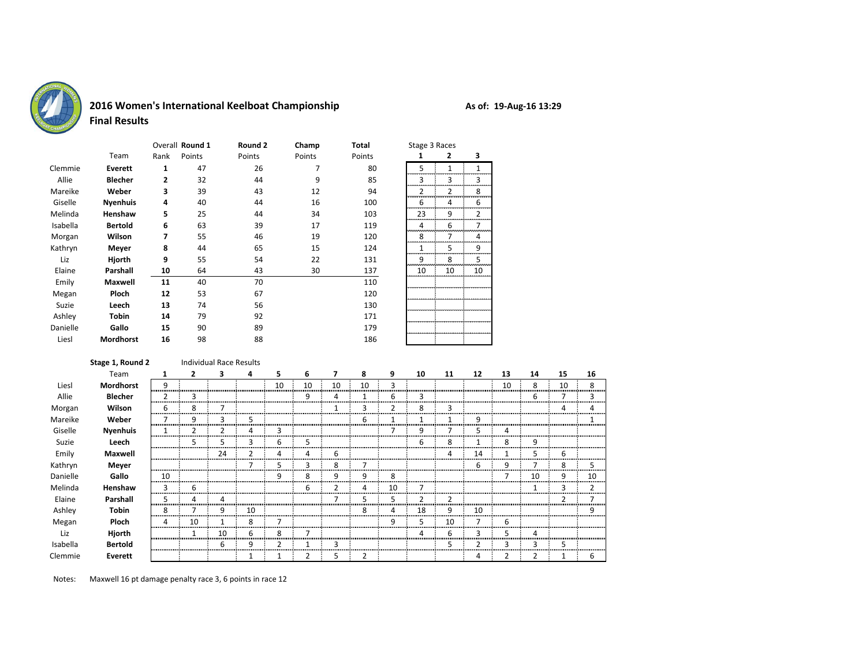

## **2016 Women's International Keelboat Championship**

|          |                  | Overall Round 1 |        | Round 2 | Champ  | Total  |        | Stage 3 Races |    |  |  |  |
|----------|------------------|-----------------|--------|---------|--------|--------|--------|---------------|----|--|--|--|
|          | Team             | Rank            | Points | Points  | Points | Points |        | 2             | 3  |  |  |  |
| Clemmie  | Everett          | 1               | 47     | 26      | 7      | 80     | 5      | 1             | 1  |  |  |  |
| Allie    | <b>Blecher</b>   | 2               | 32     | 44      | 9      | 85     | 3      | 3             | 3  |  |  |  |
| Mareike  | Weber            | 3               | 39     | 43      | 12     | 94     | 2      | 2             | 8  |  |  |  |
| Giselle  | <b>Nyenhuis</b>  | 4               | 40     | 44      | 16     | 100    | 6      | 4             | 6  |  |  |  |
| Melinda  | Henshaw          | 5               | 25     | 44      | 34     | 103    | 23     | 9             | 2  |  |  |  |
| Isabella | <b>Bertold</b>   | 6               | 63     | 39      | 17     | 119    | 4      | 6             | 7  |  |  |  |
| Morgan   | Wilson           | 7               | 55     | 46      | 19     | 120    | 8<br>. | 7             | 4  |  |  |  |
| Kathryn  | Meyer            | 8               | 44     | 65      | 15     | 124    | 1      | 5             | 9  |  |  |  |
| Liz      | Hjorth           | 9               | 55     | 54      | 22     | 131    | 9      | 8             | 5  |  |  |  |
| Elaine   | Parshall         | 10              | 64     | 43      | 30     | 137    | 10     | 10            | 10 |  |  |  |
| Emily    | <b>Maxwell</b>   | 11              | 40     | 70      |        | 110    |        |               |    |  |  |  |
| Megan    | Ploch            | 12              | 53     | 67      |        | 120    |        |               |    |  |  |  |
| Suzie    | Leech            | 13              | 74     | 56      |        | 130    |        |               |    |  |  |  |
| Ashley   | <b>Tobin</b>     | 14              | 79     | 92      |        | 171    |        |               |    |  |  |  |
| Danielle | Gallo            | 15              | 90     | 89      |        | 179    |        |               |    |  |  |  |
| Liesl    | <b>Mordhorst</b> | 16              | 98     | 88      |        | 186    |        |               |    |  |  |  |

|                         | Stage 3 Races  |                |  |  |  |  |  |  |  |  |  |
|-------------------------|----------------|----------------|--|--|--|--|--|--|--|--|--|
| 1                       | 2              | 3              |  |  |  |  |  |  |  |  |  |
| 5                       | $\overline{1}$ | $\overline{1}$ |  |  |  |  |  |  |  |  |  |
| 3                       | 3              | 3              |  |  |  |  |  |  |  |  |  |
| $\overline{\mathbf{c}}$ | $\overline{2}$ | 8              |  |  |  |  |  |  |  |  |  |
| 6                       | 4              | 6              |  |  |  |  |  |  |  |  |  |
| 23                      | 9              | 2              |  |  |  |  |  |  |  |  |  |
| 4                       | 6              | 7              |  |  |  |  |  |  |  |  |  |
| 8                       | 7              | 4              |  |  |  |  |  |  |  |  |  |
| $\mathbf 1$             | 5              | 9              |  |  |  |  |  |  |  |  |  |
| 9                       | 8              | $\overline{5}$ |  |  |  |  |  |  |  |  |  |
| 10                      | 10             | 10             |  |  |  |  |  |  |  |  |  |
|                         |                |                |  |  |  |  |  |  |  |  |  |
|                         |                |                |  |  |  |  |  |  |  |  |  |
|                         |                |                |  |  |  |  |  |  |  |  |  |
|                         |                |                |  |  |  |  |  |  |  |  |  |
|                         |                |                |  |  |  |  |  |  |  |  |  |
|                         |                |                |  |  |  |  |  |  |  |  |  |

| Stage 1, Round 2 |         |                |    |    |                                |    |    |    |    |    |    |                         |    |    |    |    |
|------------------|---------|----------------|----|----|--------------------------------|----|----|----|----|----|----|-------------------------|----|----|----|----|
| Team             |         | 2              | 3  | 4  | 5                              | 6  |    | 8  | 9  | 10 | 11 | 12                      | 13 | 14 | 15 | 16 |
| Mordhorst        | q       |                |    |    | 10                             | 10 | 10 | 10 |    |    |    |                         | 10 | 8  | 10 | 8  |
| <b>Blecher</b>   |         | з              |    |    |                                | 9  | 4  |    | 6  | 3  |    |                         |    | 6  |    |    |
| Wilson           | 6       | 8              |    |    |                                |    |    | 3  | 2  | 8  | з  |                         |    |    |    |    |
| Weber            |         |                | 3  | 5  |                                |    |    | ь  |    |    |    | 9                       |    |    |    |    |
| <b>Nyenhuis</b>  |         |                |    | 4  | з                              |    |    |    |    | 9  |    | 5                       | 4  |    |    |    |
| Leech            |         | ↖              | 5  | 3  | ь                              | 5  |    |    |    | 6  | 8  |                         | 8  | 9  |    |    |
| <b>Maxwell</b>   |         |                | 24 | 2  | 4                              | 4  | 6  |    |    |    | 4  | 14                      |    | 5  | 6  |    |
| Meyer            |         |                |    |    |                                |    | 8  |    |    |    |    | 6                       | ٩  |    | 8  |    |
| Gallo            | 10      |                |    |    | q                              | 8  | 9  | 9  | 8  |    |    |                         |    | 10 | 9  | 10 |
| Henshaw          | 3       | ь              |    |    |                                | 6  |    |    | 10 |    |    |                         |    |    |    |    |
| Parshall         | 5.<br>. |                |    |    |                                |    |    |    |    |    |    |                         |    |    |    |    |
| <b>Tobin</b>     | 8       |                |    | 10 |                                |    |    |    |    | 18 | g  | 10                      |    |    |    |    |
| Ploch            | 4       | 10             |    | 8  |                                |    |    |    | 9  | 5  | 10 |                         | 6  |    |    |    |
| Hjorth           |         |                | 10 | 6  | 8                              |    |    |    |    | 4  | 6  | 3                       | 5  | 4  |    |    |
| <b>Bertold</b>   |         |                | 6  | 9  |                                |    | 3  |    |    |    | 5  | $\overline{\mathbf{c}}$ | 3  | 3  | 5  |    |
| Everett          |         |                |    |    |                                |    | 5  | 2  |    |    |    | 4                       | 2  | 2  |    | 6  |
|                  |         | <br>.<br>.<br> |    |    | <b>Individual Race Results</b> |    |    |    |    |    |    |                         |    |    |    |    |

Notes: Maxwell 16 pt damage penalty race 3, 6 points in race 12